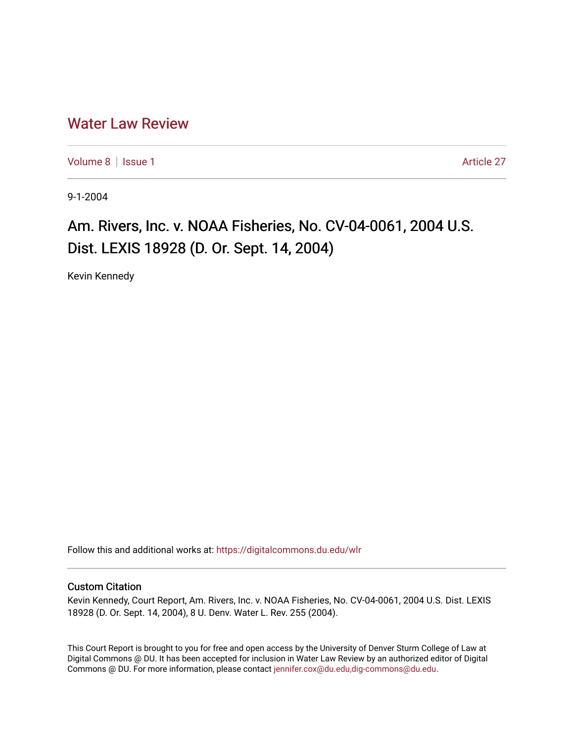## [Water Law Review](https://digitalcommons.du.edu/wlr)

[Volume 8](https://digitalcommons.du.edu/wlr/vol8) | [Issue 1](https://digitalcommons.du.edu/wlr/vol8/iss1) Article 27

9-1-2004

## Am. Rivers, Inc. v. NOAA Fisheries, No. CV-04-0061, 2004 U.S. Dist. LEXIS 18928 (D. Or. Sept. 14, 2004)

Kevin Kennedy

Follow this and additional works at: [https://digitalcommons.du.edu/wlr](https://digitalcommons.du.edu/wlr?utm_source=digitalcommons.du.edu%2Fwlr%2Fvol8%2Fiss1%2F27&utm_medium=PDF&utm_campaign=PDFCoverPages) 

## Custom Citation

Kevin Kennedy, Court Report, Am. Rivers, Inc. v. NOAA Fisheries, No. CV-04-0061, 2004 U.S. Dist. LEXIS 18928 (D. Or. Sept. 14, 2004), 8 U. Denv. Water L. Rev. 255 (2004).

This Court Report is brought to you for free and open access by the University of Denver Sturm College of Law at Digital Commons @ DU. It has been accepted for inclusion in Water Law Review by an authorized editor of Digital Commons @ DU. For more information, please contact [jennifer.cox@du.edu,dig-commons@du.edu.](mailto:jennifer.cox@du.edu,dig-commons@du.edu)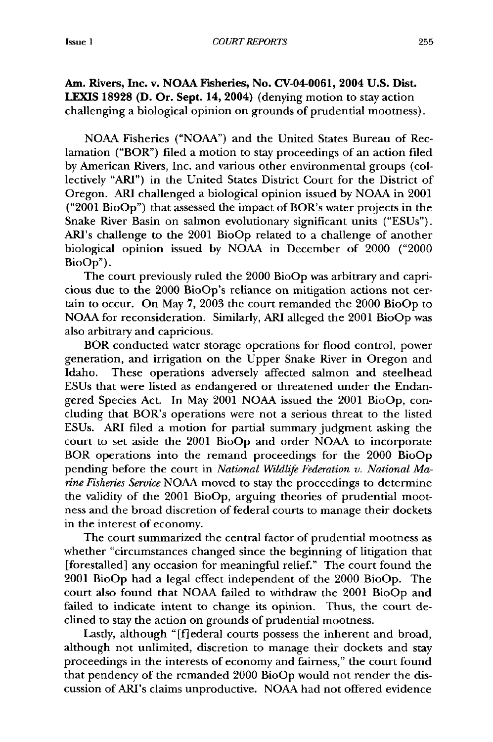Am. Rivers, Inc. v. **NOAA** Fisheries, No. CV-04-0061, **2004 U.S. Dist. LEXIS 18928 (D. Or. Sept. 14, 2004)** (denying motion to stay action challenging a biological opinion on grounds of prudential mootness).

NOAA Fisheries ("NOAA") and the United States Bureau of Reclamation ("BOR") filed a motion to stay proceedings of an action filed by American Rivers, Inc. and various other environmental groups (collectively "ARI") in the United States District Court for the District of Oregon. ARI challenged a biological opinion issued by NOAA in 2001 ("2001 BioOp") that assessed the impact of BOR's water projects in the Snake River Basin on salmon evolutionary significant units ("ESUs"). ARI's challenge to the 2001 BioOp related to a challenge of another biological opinion issued by NOAA in December of 2000 ("2000 BioOp").

The court previously ruled the 2000 BioOp was arbitrary and capricious due to the 2000 BioOp's reliance on mitigation actions not certain to occur. On May 7, 2003 the court remanded the 2000 BioOp to NOAA for reconsideration. Similarly, ARI alleged the 2001 BioOp was also arbitrary and capricious.

BOR conducted water storage operations for flood control, power generation, and irrigation on the Upper Snake River in Oregon and Idaho. These operations adversely affected salmon and steelhead ESUs that were listed as endangered or threatened under the Endangered Species Act. In May 2001 NOAA issued the 2001 BioOp, concluding that BOR's operations were not a serious threat to the listed ESUs. ARI filed a motion for partial summary judgment asking the court to set aside the 2001 BioOp and order NOAA to incorporate BOR operations into the remand proceedings for the 2000 BioOp pending before the court in *National Wildlife Federation v. National Marine Fisheries Service* NOAA moved to stay the proceedings to determine the validity of the 2001 BioOp, arguing theories of prudential mootness and the broad discretion of federal courts to manage their dockets in the interest of economy.

The court summarized the central factor of prudential mootness as whether "circumstances changed since the beginning of litigation that [forestalled] any occasion for meaningful relief." The court found the 2001 BioOp had a legal effect independent of the 2000 BioOp. The court also found that NOAA failed to withdraw the 2001 BioOp and failed to indicate intent to change its opinion. Thus, the court declined to stay the action on grounds of prudential mootness.

Lastly, although **"[f]** ederal courts possess the inherent and broad, although not unlimited, discretion to manage their dockets and stay proceedings in the interests of economy and fairness," the court found that pendency of the remanded 2000 BioOp would not render the discussion of ARI's claims unproductive. NOAA had not offered evidence